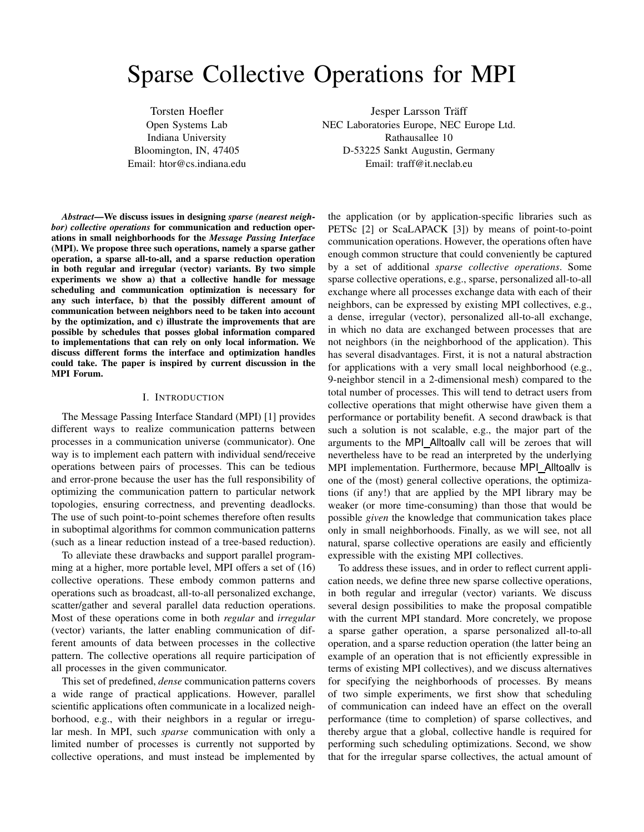# Sparse Collective Operations for MPI

Torsten Hoefler Open Systems Lab Indiana University Bloomington, IN, 47405 Email: htor@cs.indiana.edu

Jesper Larsson Träff NEC Laboratories Europe, NEC Europe Ltd. Rathausallee 10 D-53225 Sankt Augustin, Germany Email: traff@it.neclab.eu

*Abstract***—We discuss issues in designing** *sparse (nearest neighbor) collective operations* **for communication and reduction operations in small neighborhoods for the** *Message Passing Interface* **(MPI). We propose three such operations, namely a sparse gather operation, a sparse all-to-all, and a sparse reduction operation in both regular and irregular (vector) variants. By two simple experiments we show a) that a collective handle for message scheduling and communication optimization is necessary for any such interface, b) that the possibly different amount of communication between neighbors need to be taken into account by the optimization, and c) illustrate the improvements that are possible by schedules that posses global information compared to implementations that can rely on only local information. We discuss different forms the interface and optimization handles could take. The paper is inspired by current discussion in the MPI Forum.**

## I. INTRODUCTION

The Message Passing Interface Standard (MPI) [1] provides different ways to realize communication patterns between processes in a communication universe (communicator). One way is to implement each pattern with individual send/receive operations between pairs of processes. This can be tedious and error-prone because the user has the full responsibility of optimizing the communication pattern to particular network topologies, ensuring correctness, and preventing deadlocks. The use of such point-to-point schemes therefore often results in suboptimal algorithms for common communication patterns (such as a linear reduction instead of a tree-based reduction).

To alleviate these drawbacks and support parallel programming at a higher, more portable level, MPI offers a set of (16) collective operations. These embody common patterns and operations such as broadcast, all-to-all personalized exchange, scatter/gather and several parallel data reduction operations. Most of these operations come in both *regular* and *irregular* (vector) variants, the latter enabling communication of different amounts of data between processes in the collective pattern. The collective operations all require participation of all processes in the given communicator.

This set of predefined, *dense* communication patterns covers a wide range of practical applications. However, parallel scientific applications often communicate in a localized neighborhood, e.g., with their neighbors in a regular or irregular mesh. In MPI, such *sparse* communication with only a limited number of processes is currently not supported by collective operations, and must instead be implemented by

the application (or by application-specific libraries such as PETSc [2] or ScaLAPACK [3]) by means of point-to-point communication operations. However, the operations often have enough common structure that could conveniently be captured by a set of additional *sparse collective operations*. Some sparse collective operations, e.g., sparse, personalized all-to-all exchange where all processes exchange data with each of their neighbors, can be expressed by existing MPI collectives, e.g., a dense, irregular (vector), personalized all-to-all exchange, in which no data are exchanged between processes that are not neighbors (in the neighborhood of the application). This has several disadvantages. First, it is not a natural abstraction for applications with a very small local neighborhood (e.g., 9-neighbor stencil in a 2-dimensional mesh) compared to the total number of processes. This will tend to detract users from collective operations that might otherwise have given them a performance or portability benefit. A second drawback is that such a solution is not scalable, e.g., the major part of the arguments to the MPI Alltoallv call will be zeroes that will nevertheless have to be read an interpreted by the underlying MPI implementation. Furthermore, because MPI\_Alltoallv is one of the (most) general collective operations, the optimizations (if any!) that are applied by the MPI library may be weaker (or more time-consuming) than those that would be possible *given* the knowledge that communication takes place only in small neighborhoods. Finally, as we will see, not all natural, sparse collective operations are easily and efficiently expressible with the existing MPI collectives.

To address these issues, and in order to reflect current application needs, we define three new sparse collective operations, in both regular and irregular (vector) variants. We discuss several design possibilities to make the proposal compatible with the current MPI standard. More concretely, we propose a sparse gather operation, a sparse personalized all-to-all operation, and a sparse reduction operation (the latter being an example of an operation that is not efficiently expressible in terms of existing MPI collectives), and we discuss alternatives for specifying the neighborhoods of processes. By means of two simple experiments, we first show that scheduling of communication can indeed have an effect on the overall performance (time to completion) of sparse collectives, and thereby argue that a global, collective handle is required for performing such scheduling optimizations. Second, we show that for the irregular sparse collectives, the actual amount of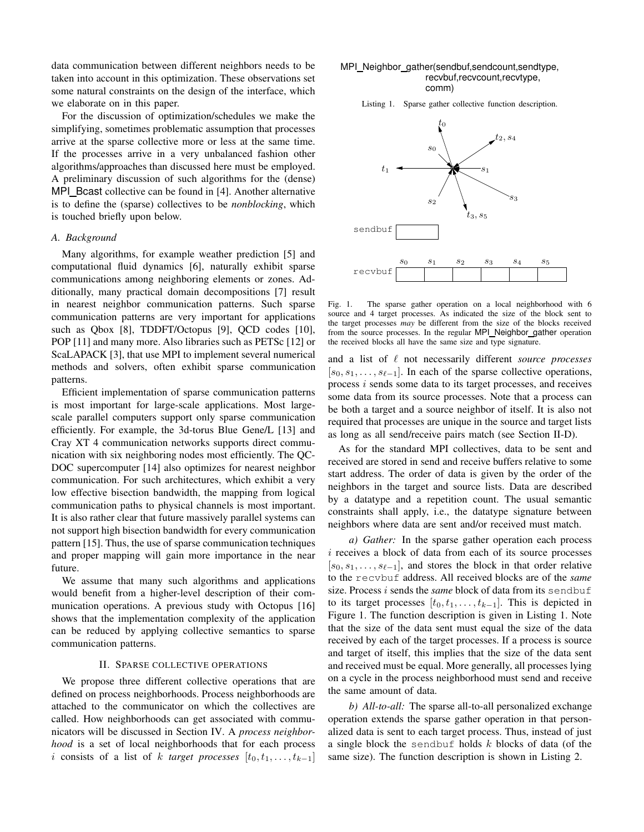data communication between different neighbors needs to be taken into account in this optimization. These observations set some natural constraints on the design of the interface, which we elaborate on in this paper.

For the discussion of optimization/schedules we make the simplifying, sometimes problematic assumption that processes arrive at the sparse collective more or less at the same time. If the processes arrive in a very unbalanced fashion other algorithms/approaches than discussed here must be employed. A preliminary discussion of such algorithms for the (dense) MPI\_Bcast collective can be found in [4]. Another alternative is to define the (sparse) collectives to be *nonblocking*, which is touched briefly upon below.

#### *A. Background*

Many algorithms, for example weather prediction [5] and computational fluid dynamics [6], naturally exhibit sparse communications among neighboring elements or zones. Additionally, many practical domain decompositions [7] result in nearest neighbor communication patterns. Such sparse communication patterns are very important for applications such as Qbox [8], TDDFT/Octopus [9], QCD codes [10], POP [11] and many more. Also libraries such as PETSc [12] or ScaLAPACK [3], that use MPI to implement several numerical methods and solvers, often exhibit sparse communication patterns.

Efficient implementation of sparse communication patterns is most important for large-scale applications. Most largescale parallel computers support only sparse communication efficiently. For example, the 3d-torus Blue Gene/L [13] and Cray XT 4 communication networks supports direct communication with six neighboring nodes most efficiently. The QC-DOC supercomputer [14] also optimizes for nearest neighbor communication. For such architectures, which exhibit a very low effective bisection bandwidth, the mapping from logical communication paths to physical channels is most important. It is also rather clear that future massively parallel systems can not support high bisection bandwidth for every communication pattern [15]. Thus, the use of sparse communication techniques and proper mapping will gain more importance in the near future.

We assume that many such algorithms and applications would benefit from a higher-level description of their communication operations. A previous study with Octopus [16] shows that the implementation complexity of the application can be reduced by applying collective semantics to sparse communication patterns.

#### II. SPARSE COLLECTIVE OPERATIONS

We propose three different collective operations that are defined on process neighborhoods. Process neighborhoods are attached to the communicator on which the collectives are called. How neighborhoods can get associated with communicators will be discussed in Section IV. A *process neighborhood* is a set of local neighborhoods that for each process i consists of a list of k *target processes*  $[t_0, t_1, \ldots, t_{k-1}]$ 

#### MPI Neighbor gather(sendbuf,sendcount,sendtype, recvbuf,recvcount,recvtype, comm)

Listing 1. Sparse gather collective function description.



Fig. 1. The sparse gather operation on a local neighborhood with 6 source and 4 target processes. As indicated the size of the block sent to the target processes *may* be different from the size of the blocks received from the source processes. In the regular MPI\_Neighbor\_gather operation the received blocks all have the same size and type signature.

and a list of  $\ell$  not necessarily different *source processes*  $[s_0, s_1, \ldots, s_{\ell-1}]$ . In each of the sparse collective operations, process i sends some data to its target processes, and receives some data from its source processes. Note that a process can be both a target and a source neighbor of itself. It is also not required that processes are unique in the source and target lists as long as all send/receive pairs match (see Section II-D).

As for the standard MPI collectives, data to be sent and received are stored in send and receive buffers relative to some start address. The order of data is given by the order of the neighbors in the target and source lists. Data are described by a datatype and a repetition count. The usual semantic constraints shall apply, i.e., the datatype signature between neighbors where data are sent and/or received must match.

*a) Gather:* In the sparse gather operation each process  $i$  receives a block of data from each of its source processes  $[s_0, s_1, \ldots, s_{\ell-1}]$ , and stores the block in that order relative to the recvbuf address. All received blocks are of the *same* size. Process i sends the *same* block of data from its sendbuf to its target processes  $[t_0, t_1, \ldots, t_{k-1}]$ . This is depicted in Figure 1. The function description is given in Listing 1. Note that the size of the data sent must equal the size of the data received by each of the target processes. If a process is source and target of itself, this implies that the size of the data sent and received must be equal. More generally, all processes lying on a cycle in the process neighborhood must send and receive the same amount of data.

*b) All-to-all:* The sparse all-to-all personalized exchange operation extends the sparse gather operation in that personalized data is sent to each target process. Thus, instead of just a single block the sendbuf holds  $k$  blocks of data (of the same size). The function description is shown in Listing 2.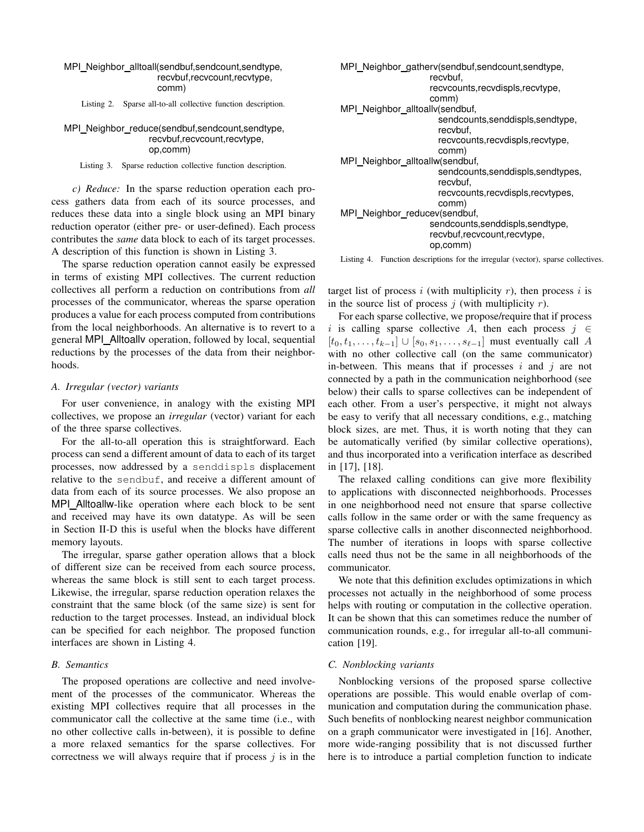#### MPI Neighbor alltoall(sendbuf,sendcount,sendtype, recvbuf,recvcount,recvtype, comm)

Listing 2. Sparse all-to-all collective function description.

MPI Neighbor reduce(sendbuf,sendcount,sendtype, recvbuf,recvcount,recvtype, op,comm)

Listing 3. Sparse reduction collective function description.

*c) Reduce:* In the sparse reduction operation each process gathers data from each of its source processes, and reduces these data into a single block using an MPI binary reduction operator (either pre- or user-defined). Each process contributes the *same* data block to each of its target processes. A description of this function is shown in Listing 3.

The sparse reduction operation cannot easily be expressed in terms of existing MPI collectives. The current reduction collectives all perform a reduction on contributions from *all* processes of the communicator, whereas the sparse operation produces a value for each process computed from contributions from the local neighborhoods. An alternative is to revert to a general MPI\_Alltoallv operation, followed by local, sequential reductions by the processes of the data from their neighborhoods.

#### *A. Irregular (vector) variants*

For user convenience, in analogy with the existing MPI collectives, we propose an *irregular* (vector) variant for each of the three sparse collectives.

For the all-to-all operation this is straightforward. Each process can send a different amount of data to each of its target processes, now addressed by a senddispls displacement relative to the sendbuf, and receive a different amount of data from each of its source processes. We also propose an MPI Alltoallw-like operation where each block to be sent and received may have its own datatype. As will be seen in Section II-D this is useful when the blocks have different memory layouts.

The irregular, sparse gather operation allows that a block of different size can be received from each source process, whereas the same block is still sent to each target process. Likewise, the irregular, sparse reduction operation relaxes the constraint that the same block (of the same size) is sent for reduction to the target processes. Instead, an individual block can be specified for each neighbor. The proposed function interfaces are shown in Listing 4.

## *B. Semantics*

The proposed operations are collective and need involvement of the processes of the communicator. Whereas the existing MPI collectives require that all processes in the communicator call the collective at the same time (i.e., with no other collective calls in-between), it is possible to define a more relaxed semantics for the sparse collectives. For correctness we will always require that if process  $j$  is in the MPI\_Neighbor\_gatherv(sendbuf,sendcount,sendtype, recvbuf, recvcounts,recvdispls,recvtype, comm) MPI\_Neighbor\_alltoallv(sendbuf, sendcounts,senddispls,sendtype, recvbuf, recvcounts,recvdispls,recvtype, comm) MPI\_Neighbor\_alltoallw(sendbuf, sendcounts,senddispls,sendtypes, recvbuf, recvcounts,recvdispls,recvtypes, comm) MPI Neighbor reducev(sendbuf, sendcounts,senddispls,sendtype, recvbuf,recvcount,recvtype, op,comm)

Listing 4. Function descriptions for the irregular (vector), sparse collectives.

target list of process i (with multiplicity r), then process i is in the source list of process  $j$  (with multiplicity  $r$ ).

For each sparse collective, we propose/require that if process i is calling sparse collective A, then each process  $j \in \mathcal{C}$  $[t_0,t_1,\ldots,t_{k-1}] \cup [s_0,s_1,\ldots,s_{\ell-1}]$  must eventually call A with no other collective call (on the same communicator) in-between. This means that if processes  $i$  and  $j$  are not connected by a path in the communication neighborhood (see below) their calls to sparse collectives can be independent of each other. From a user's perspective, it might not always be easy to verify that all necessary conditions, e.g., matching block sizes, are met. Thus, it is worth noting that they can be automatically verified (by similar collective operations), and thus incorporated into a verification interface as described in [17], [18].

The relaxed calling conditions can give more flexibility to applications with disconnected neighborhoods. Processes in one neighborhood need not ensure that sparse collective calls follow in the same order or with the same frequency as sparse collective calls in another disconnected neighborhood. The number of iterations in loops with sparse collective calls need thus not be the same in all neighborhoods of the communicator.

We note that this definition excludes optimizations in which processes not actually in the neighborhood of some process helps with routing or computation in the collective operation. It can be shown that this can sometimes reduce the number of communication rounds, e.g., for irregular all-to-all communication [19].

#### *C. Nonblocking variants*

Nonblocking versions of the proposed sparse collective operations are possible. This would enable overlap of communication and computation during the communication phase. Such benefits of nonblocking nearest neighbor communication on a graph communicator were investigated in [16]. Another, more wide-ranging possibility that is not discussed further here is to introduce a partial completion function to indicate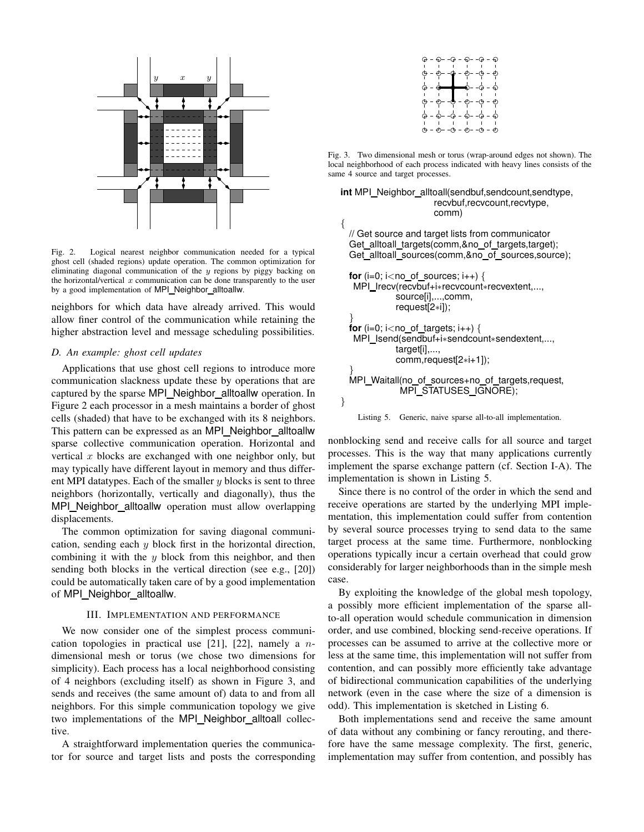

Fig. 2. Logical nearest neighbor communication needed for a typical ghost cell (shaded regions) update operation. The common optimization for eliminating diagonal communication of the  $y$  regions by piggy backing on the horizontal/vertical  $x$  communication can be done transparently to the user by a good implementation of MPI\_Neighbor\_alltoallw.

neighbors for which data have already arrived. This would allow finer control of the communication while retaining the higher abstraction level and message scheduling possibilities.

## *D. An example: ghost cell updates*

Applications that use ghost cell regions to introduce more communication slackness update these by operations that are captured by the sparse MPI Neighbor alltoallw operation. In Figure 2 each processor in a mesh maintains a border of ghost cells (shaded) that have to be exchanged with its 8 neighbors. This pattern can be expressed as an MPI\_Neighbor\_alltoallw sparse collective communication operation. Horizontal and vertical  $x$  blocks are exchanged with one neighbor only, but may typically have different layout in memory and thus different MPI datatypes. Each of the smaller  $y$  blocks is sent to three neighbors (horizontally, vertically and diagonally), thus the MPI\_Neighbor\_alltoallw operation must allow overlapping displacements.

The common optimization for saving diagonal communication, sending each  $y$  block first in the horizontal direction, combining it with the  $y$  block from this neighbor, and then sending both blocks in the vertical direction (see e.g., [20]) could be automatically taken care of by a good implementation of MPI\_Neighbor\_alltoallw.

## III. IMPLEMENTATION AND PERFORMANCE

We now consider one of the simplest process communication topologies in practical use [21], [22], namely a  $n$ dimensional mesh or torus (we chose two dimensions for simplicity). Each process has a local neighborhood consisting of 4 neighbors (excluding itself) as shown in Figure 3, and sends and receives (the same amount of) data to and from all neighbors. For this simple communication topology we give two implementations of the MPI\_Neighbor\_alltoall collective.

A straightforward implementation queries the communicator for source and target lists and posts the corresponding

|  | $\bigcirc \theta$ - $\bigcirc - \bigcirc - \bigcirc - \bigcirc - \bigcirc - \bigcirc$ |  |  |  |
|--|---------------------------------------------------------------------------------------|--|--|--|
|  |                                                                                       |  |  |  |
|  | $\phi - \phi - \phi - \phi - \phi - \phi$                                             |  |  |  |
|  | -0-0-0-0-0                                                                            |  |  |  |
|  |                                                                                       |  |  |  |
|  | စု – စု- - <b>စု</b> – စု- -စု – စု                                                   |  |  |  |
|  | $\phi - \phi - \phi - \phi - \phi - \phi$                                             |  |  |  |
|  |                                                                                       |  |  |  |
|  | $\bigoplus -\bigoplus -\bigoplus -\bigoplus -\bigoplus -\bigoplus -\bigoplus$         |  |  |  |

Fig. 3. Two dimensional mesh or torus (wrap-around edges not shown). The local neighborhood of each process indicated with heavy lines consists of the same 4 source and target processes.

## int MPI\_Neighbor\_alltoall(sendbuf,sendcount,sendtype, recvbuf,recvcount,recvtype, comm)

{ // Get source and target lists from communicator Get\_alltoall\_targets(comm,&no\_of\_targets,target); Get\_alltoall\_sources(comm,&no\_of\_sources,source);



Listing 5. Generic, naive sparse all-to-all implementation.

nonblocking send and receive calls for all source and target processes. This is the way that many applications currently implement the sparse exchange pattern (cf. Section I-A). The implementation is shown in Listing 5.

Since there is no control of the order in which the send and receive operations are started by the underlying MPI implementation, this implementation could suffer from contention by several source processes trying to send data to the same target process at the same time. Furthermore, nonblocking operations typically incur a certain overhead that could grow considerably for larger neighborhoods than in the simple mesh case.

By exploiting the knowledge of the global mesh topology, a possibly more efficient implementation of the sparse allto-all operation would schedule communication in dimension order, and use combined, blocking send-receive operations. If processes can be assumed to arrive at the collective more or less at the same time, this implementation will not suffer from contention, and can possibly more efficiently take advantage of bidirectional communication capabilities of the underlying network (even in the case where the size of a dimension is odd). This implementation is sketched in Listing 6.

Both implementations send and receive the same amount of data without any combining or fancy rerouting, and therefore have the same message complexity. The first, generic, implementation may suffer from contention, and possibly has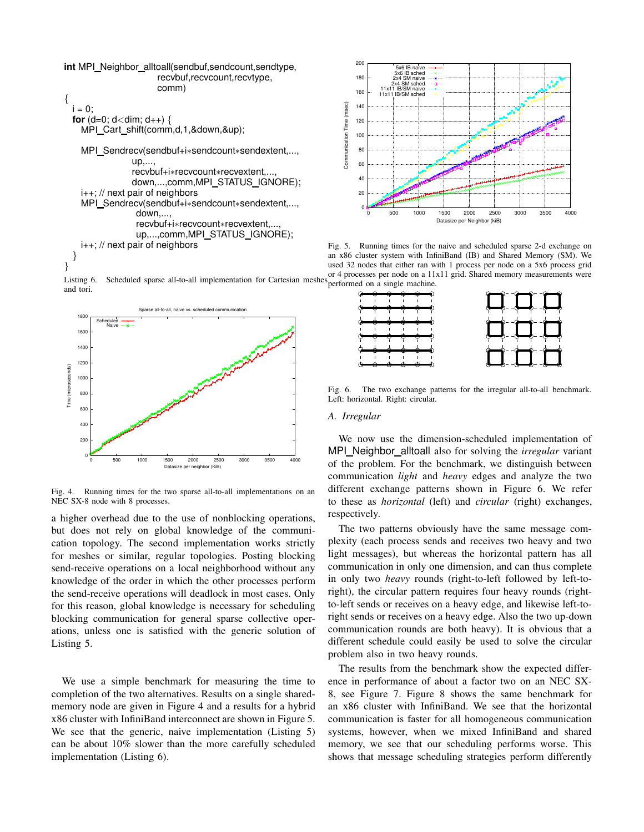



Fig. 5. Running times for the naive and scheduled sparse 2-d exchange on an x86 cluster system with InfiniBand (IB) and Shared Memory (SM). We used 32 nodes that either ran with 1 process per node on a 5x6 process grid or 4 processes per node on a 11x11 grid. Shared memory measurements were

Listing 6. Scheduled sparse all-to-all implementation for Cartesian meshes performed on a single machine. and tori.



Fig. 4. Running times for the two sparse all-to-all implementations on an NEC SX-8 node with 8 processes.

a higher overhead due to the use of nonblocking operations, but does not rely on global knowledge of the communication topology. The second implementation works strictly for meshes or similar, regular topologies. Posting blocking send-receive operations on a local neighborhood without any knowledge of the order in which the other processes perform the send-receive operations will deadlock in most cases. Only for this reason, global knowledge is necessary for scheduling blocking communication for general sparse collective operations, unless one is satisfied with the generic solution of Listing 5.

We use a simple benchmark for measuring the time to completion of the two alternatives. Results on a single sharedmemory node are given in Figure 4 and a results for a hybrid x86 cluster with InfiniBand interconnect are shown in Figure 5. We see that the generic, naive implementation (Listing 5) can be about 10% slower than the more carefully scheduled implementation (Listing 6).



Fig. 6. The two exchange patterns for the irregular all-to-all benchmark. Left: horizontal. Right: circular.

## *A. Irregular*

We now use the dimension-scheduled implementation of MPI Neighbor alltoall also for solving the *irregular* variant of the problem. For the benchmark, we distinguish between communication *light* and *heavy* edges and analyze the two different exchange patterns shown in Figure 6. We refer to these as *horizontal* (left) and *circular* (right) exchanges, respectively.

The two patterns obviously have the same message complexity (each process sends and receives two heavy and two light messages), but whereas the horizontal pattern has all communication in only one dimension, and can thus complete in only two *heavy* rounds (right-to-left followed by left-toright), the circular pattern requires four heavy rounds (rightto-left sends or receives on a heavy edge, and likewise left-toright sends or receives on a heavy edge. Also the two up-down communication rounds are both heavy). It is obvious that a different schedule could easily be used to solve the circular problem also in two heavy rounds.

The results from the benchmark show the expected difference in performance of about a factor two on an NEC SX-8, see Figure 7. Figure 8 shows the same benchmark for an x86 cluster with InfiniBand. We see that the horizontal communication is faster for all homogeneous communication systems, however, when we mixed InfiniBand and shared memory, we see that our scheduling performs worse. This shows that message scheduling strategies perform differently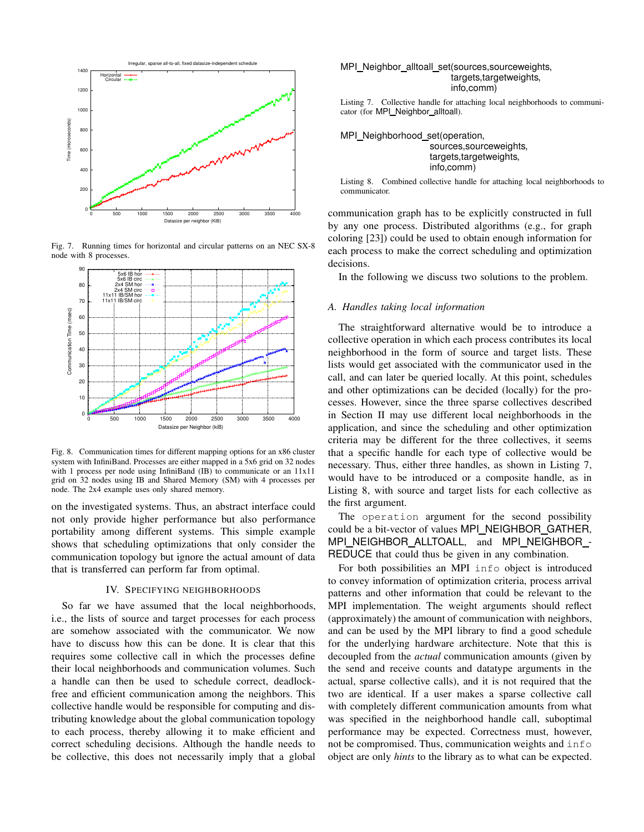

Fig. 7. Running times for horizontal and circular patterns on an NEC SX-8 node with 8 processes.



Fig. 8. Communication times for different mapping options for an x86 cluster system with InfiniBand. Processes are either mapped in a 5x6 grid on 32 nodes with 1 process per node using InfiniBand (IB) to communicate or an  $11x11$ grid on 32 nodes using IB and Shared Memory (SM) with 4 processes per node. The 2x4 example uses only shared memory.

on the investigated systems. Thus, an abstract interface could not only provide higher performance but also performance portability among different systems. This simple example shows that scheduling optimizations that only consider the communication topology but ignore the actual amount of data that is transferred can perform far from optimal.

## IV. SPECIFYING NEIGHBORHOODS

So far we have assumed that the local neighborhoods, i.e., the lists of source and target processes for each process are somehow associated with the communicator. We now have to discuss how this can be done. It is clear that this requires some collective call in which the processes define their local neighborhoods and communication volumes. Such a handle can then be used to schedule correct, deadlockfree and efficient communication among the neighbors. This collective handle would be responsible for computing and distributing knowledge about the global communication topology to each process, thereby allowing it to make efficient and correct scheduling decisions. Although the handle needs to be collective, this does not necessarily imply that a global

#### MPI Neighbor alltoall set(sources, sourceweights, targets,targetweights, info,comm)

Listing 7. Collective handle for attaching local neighborhoods to communicator (for MPI Neighbor alltoall).

MPI\_Neighborhood\_set(operation, sources,sourceweights, targets,targetweights, info,comm)

Listing 8. Combined collective handle for attaching local neighborhoods to communicator.

communication graph has to be explicitly constructed in full by any one process. Distributed algorithms (e.g., for graph coloring [23]) could be used to obtain enough information for each process to make the correct scheduling and optimization decisions.

In the following we discuss two solutions to the problem.

#### *A. Handles taking local information*

The straightforward alternative would be to introduce a collective operation in which each process contributes its local neighborhood in the form of source and target lists. These lists would get associated with the communicator used in the call, and can later be queried locally. At this point, schedules and other optimizations can be decided (locally) for the processes. However, since the three sparse collectives described in Section II may use different local neighborhoods in the application, and since the scheduling and other optimization criteria may be different for the three collectives, it seems that a specific handle for each type of collective would be necessary. Thus, either three handles, as shown in Listing 7, would have to be introduced or a composite handle, as in Listing 8, with source and target lists for each collective as the first argument.

The operation argument for the second possibility could be a bit-vector of values MPI NEIGHBOR GATHER, MPI\_NEIGHBOR\_ALLTOALL, and MPI\_NEIGHBOR\_-REDUCE that could thus be given in any combination.

For both possibilities an MPI info object is introduced to convey information of optimization criteria, process arrival patterns and other information that could be relevant to the MPI implementation. The weight arguments should reflect (approximately) the amount of communication with neighbors, and can be used by the MPI library to find a good schedule for the underlying hardware architecture. Note that this is decoupled from the *actual* communication amounts (given by the send and receive counts and datatype arguments in the actual, sparse collective calls), and it is not required that the two are identical. If a user makes a sparse collective call with completely different communication amounts from what was specified in the neighborhood handle call, suboptimal performance may be expected. Correctness must, however, not be compromised. Thus, communication weights and info object are only *hints* to the library as to what can be expected.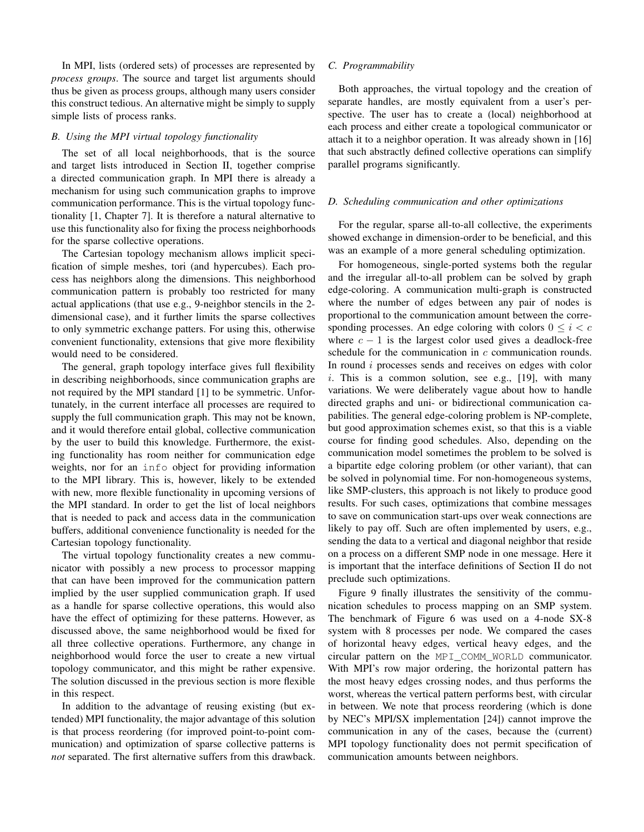In MPI, lists (ordered sets) of processes are represented by *process groups*. The source and target list arguments should thus be given as process groups, although many users consider this construct tedious. An alternative might be simply to supply simple lists of process ranks.

## *B. Using the MPI virtual topology functionality*

The set of all local neighborhoods, that is the source and target lists introduced in Section II, together comprise a directed communication graph. In MPI there is already a mechanism for using such communication graphs to improve communication performance. This is the virtual topology functionality [1, Chapter 7]. It is therefore a natural alternative to use this functionality also for fixing the process neighborhoods for the sparse collective operations.

The Cartesian topology mechanism allows implicit specification of simple meshes, tori (and hypercubes). Each process has neighbors along the dimensions. This neighborhood communication pattern is probably too restricted for many actual applications (that use e.g., 9-neighbor stencils in the 2 dimensional case), and it further limits the sparse collectives to only symmetric exchange patters. For using this, otherwise convenient functionality, extensions that give more flexibility would need to be considered.

The general, graph topology interface gives full flexibility in describing neighborhoods, since communication graphs are not required by the MPI standard [1] to be symmetric. Unfortunately, in the current interface all processes are required to supply the full communication graph. This may not be known, and it would therefore entail global, collective communication by the user to build this knowledge. Furthermore, the existing functionality has room neither for communication edge weights, nor for an info object for providing information to the MPI library. This is, however, likely to be extended with new, more flexible functionality in upcoming versions of the MPI standard. In order to get the list of local neighbors that is needed to pack and access data in the communication buffers, additional convenience functionality is needed for the Cartesian topology functionality.

The virtual topology functionality creates a new communicator with possibly a new process to processor mapping that can have been improved for the communication pattern implied by the user supplied communication graph. If used as a handle for sparse collective operations, this would also have the effect of optimizing for these patterns. However, as discussed above, the same neighborhood would be fixed for all three collective operations. Furthermore, any change in neighborhood would force the user to create a new virtual topology communicator, and this might be rather expensive. The solution discussed in the previous section is more flexible in this respect.

In addition to the advantage of reusing existing (but extended) MPI functionality, the major advantage of this solution is that process reordering (for improved point-to-point communication) and optimization of sparse collective patterns is *not* separated. The first alternative suffers from this drawback.

## *C. Programmability*

Both approaches, the virtual topology and the creation of separate handles, are mostly equivalent from a user's perspective. The user has to create a (local) neighborhood at each process and either create a topological communicator or attach it to a neighbor operation. It was already shown in [16] that such abstractly defined collective operations can simplify parallel programs significantly.

#### *D. Scheduling communication and other optimizations*

For the regular, sparse all-to-all collective, the experiments showed exchange in dimension-order to be beneficial, and this was an example of a more general scheduling optimization.

For homogeneous, single-ported systems both the regular and the irregular all-to-all problem can be solved by graph edge-coloring. A communication multi-graph is constructed where the number of edges between any pair of nodes is proportional to the communication amount between the corresponding processes. An edge coloring with colors  $0 \le i \le c$ where  $c - 1$  is the largest color used gives a deadlock-free schedule for the communication in  $c$  communication rounds. In round i processes sends and receives on edges with color  $i$ . This is a common solution, see e.g., [19], with many variations. We were deliberately vague about how to handle directed graphs and uni- or bidirectional communication capabilities. The general edge-coloring problem is NP-complete, but good approximation schemes exist, so that this is a viable course for finding good schedules. Also, depending on the communication model sometimes the problem to be solved is a bipartite edge coloring problem (or other variant), that can be solved in polynomial time. For non-homogeneous systems, like SMP-clusters, this approach is not likely to produce good results. For such cases, optimizations that combine messages to save on communication start-ups over weak connections are likely to pay off. Such are often implemented by users, e.g., sending the data to a vertical and diagonal neighbor that reside on a process on a different SMP node in one message. Here it is important that the interface definitions of Section II do not preclude such optimizations.

Figure 9 finally illustrates the sensitivity of the communication schedules to process mapping on an SMP system. The benchmark of Figure 6 was used on a 4-node SX-8 system with 8 processes per node. We compared the cases of horizontal heavy edges, vertical heavy edges, and the circular pattern on the MPI\_COMM\_WORLD communicator. With MPI's row major ordering, the horizontal pattern has the most heavy edges crossing nodes, and thus performs the worst, whereas the vertical pattern performs best, with circular in between. We note that process reordering (which is done by NEC's MPI/SX implementation [24]) cannot improve the communication in any of the cases, because the (current) MPI topology functionality does not permit specification of communication amounts between neighbors.